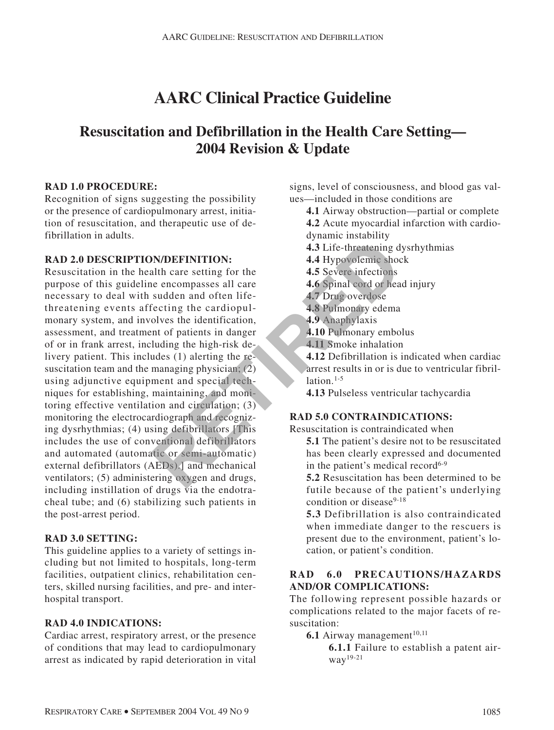# **AARC Clinical Practice Guideline**

# **Resuscitation and Defibrillation in the Health Care Setting— 2004 Revision & Update**

#### **RAD 1.0 PROCEDURE:**

Recognition of signs suggesting the possibility or the presence of cardiopulmonary arrest, initiation of resuscitation, and therapeutic use of defibrillation in adults.

# **RAD 2.0 DESCRIPTION/DEFINITION:**

Resuscitation in the health care setting for the purpose of this guideline encompasses all care necessary to deal with sudden and often lifethreatening events affecting the cardiopulmonary system, and involves the identification, assessment, and treatment of patients in danger of or in frank arrest, including the high-risk delivery patient. This includes (1) alerting the resuscitation team and the managing physician;  $(2)$ using adjunctive equipment and special techniques for establishing, maintaining, and monitoring effective ventilation and circulation; (3) monitoring the electrocardiograph and recognizing dysrhythmias; (4) using defibrillators [This includes the use of conventional defibrillators and automated (automatic or semi-automatic) external defibrillators (AEDs).] and mechanical ventilators; (5) administering oxygen and drugs, including instillation of drugs via the endotracheal tube; and (6) stabilizing such patients in the post-arrest period. **EXERCTIVE A**<br> **REFIRENTION:**<br> **A.3 Life-threatening d**<br> **A.4 Hypovolemic shockling the cardiopul-**<br> **A.4 Hypovolemic shockling the cardiopul-**<br> **A.5 Severe infections**<br>
sudden and often life-<br> **A.7 Drug overdose**<br>
electin

# **RAD 3.0 SETTING:**

This guideline applies to a variety of settings including but not limited to hospitals, long-term facilities, outpatient clinics, rehabilitation centers, skilled nursing facilities, and pre- and interhospital transport.

# **RAD 4.0 INDICATIONS:**

Cardiac arrest, respiratory arrest, or the presence of conditions that may lead to cardiopulmonary arrest as indicated by rapid deterioration in vital signs, level of consciousness, and blood gas values—included in those conditions are

- **4.1** Airway obstruction—partial or complete
- **4.2** Acute myocardial infarction with cardiodynamic instability
- **4.3** Life-threatening dysrhythmias
- **4.4** Hypovolemic shock
- **4.5** Severe infections
- **4.6** Spinal cord or head injury
- **4.7** Drug overdose
- **4.8** Pulmonary edema
- **4.9** Anaphylaxis
- **4.10** Pulmonary embolus
- **4.11** Smoke inhalation
- **4.12** Defibrillation is indicated when cardiac arrest results in or is due to ventricular fibrillation $1-5$
- **4.13** Pulseless ventricular tachycardia

# **RAD 5.0 CONTRAINDICATIONS:**

Resuscitation is contraindicated when

- **5.1** The patient's desire not to be resuscitated has been clearly expressed and documented in the patient's medical record<sup>6-9</sup>
- **5.2** Resuscitation has been determined to be futile because of the patient's underlying condition or disease<sup>9-18</sup>
- **5.3** Defibrillation is also contraindicated when immediate danger to the rescuers is present due to the environment, patient's location, or patient's condition.

# **RAD 6.0 PRECAUTIONS/HAZARDS AND/OR COMPLICATIONS:**

The following represent possible hazards or complications related to the major facets of resuscitation:

- **6.1** Airway management<sup> $10,11$ </sup>
	- **6.1.1** Failure to establish a patent airway19-21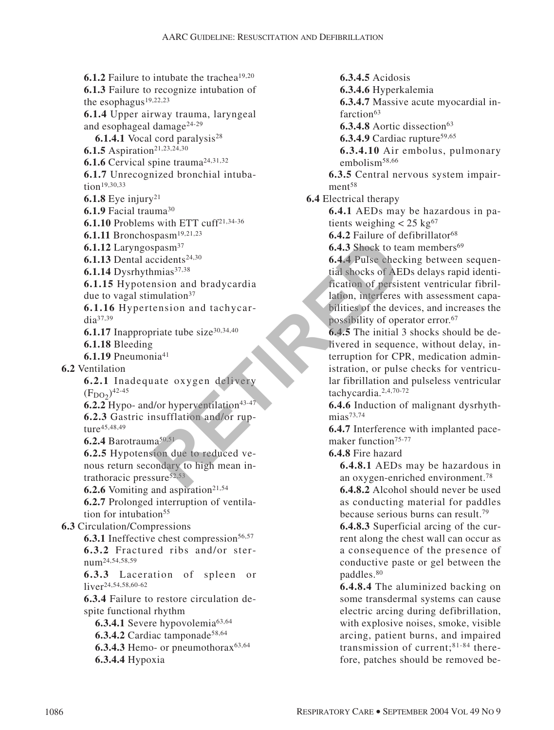**6.1.2** Failure to intubate the trachea<sup>19,20</sup> **6.1.3** Failure to recognize intubation of the esophagus<sup>19,22,23</sup> **6.1.4** Upper airway trauma, laryngeal and esophageal damage24-29 **6.1.4.1** Vocal cord paralysis<sup>28</sup> **6.1.5** Aspiration<sup>21,23,24,30</sup> **6.1.6** Cervical spine trauma<sup>24,31,32</sup> **6.1.7** Unrecognized bronchial intubation<sup>19,30,33</sup> **6.1.8** Eye injury<sup>21</sup> **6.1.9** Facial trauma30 **6.1.10** Problems with ETT cuff21,34-36 **6.1.11** Bronchospasm19,21,23 **6.1.12** Laryngospasm37 **6.1.13** Dental accidents<sup>24,30</sup>  $6.1.14$  Dysrhythmias<sup>37,38</sup> **6.1.15** Hypotension and bradycardia due to vagal stimulation $37$ **6.1.16** Hypertension and tachycardia37,39 **6.1.17** Inappropriate tube size $30,34,40$ **6.1.18** Bleeding **6.1.19** Pneumonia41 **6.2** Ventilation **6.2.1** Inadequate oxygen delivery  $(F_{\text{DO2}})^{42-45}$ **6.2.2** Hypo- and/or hyperventilation<sup>43-47</sup> **6.2.3** Gastric insufflation and/or rupture45,48,49 **6.2.4** Barotrauma50,51 **6.2.5** Hypotension due to reduced venous return secondary to high mean intrathoracic pressure $52,53$ **6.2.6** Vomiting and aspiration<sup>21,54</sup> **6.2.7** Prolonged interruption of ventilation for intubation<sup>55</sup> **6.3** Circulation/Compressions **6.3.1** Ineffective chest compression<sup>56,57</sup> **6.3.2** Fractured ribs and/or sternum24,54,58,59 **6.3.3** Laceration of spleen or liver<sup>24,54,58,60-62</sup> **6.3.4** Failure to restore circulation despite functional rhythm **6.3.4.1** Severe hypovolemia<sup>63,64</sup> **6.3.4.2** Cardiac tamponade<sup>58,64</sup> **6.3.4.3** Hemo- or pneumothora $x^{63,64}$ **6.3.4.4** Hypoxia Expansive of the contents<sup>24,30</sup><br>
Repassive of the contents<sup>24,30</sup><br>
minas<sup>37,38</sup><br>
minas<sup>37,38</sup><br>
minas<sup>37,38</sup><br>
minas<sup>37,38</sup><br>
minas<sup>37,38</sup><br>
minas<sup>37,38</sup><br>
minas<sup>37,38</sup><br>
minasion and bradycardia<br>
minasion and tachycar-<br>
prince

**6.3.4.5** Acidosis **6.3.4.6** Hyperkalemia **6.3.4.7** Massive acute myocardial infarction<sup>63</sup> **6.3.4.8** Aortic dissection<sup>63</sup> **6.3.4.9** Cardiac rupture<sup>59,65</sup> **6.3.4.10** Air embolus, pulmonary embolism<sup>58,66</sup> **6.3.5** Central nervous system impairment<sup>58</sup> **6.4** Electrical therapy **6.4.1** AEDs may be hazardous in patients weighing  $< 25 \text{ kg}^{67}$ **6.4.2** Failure of defibrillator<sup>68</sup> **6.4.3** Shock to team members<sup>69</sup> **6.4.4** Pulse checking between sequential shocks of AEDs delays rapid identification of persistent ventricular fibrillation, interferes with assessment capabilities of the devices, and increases the possibility of operator error.67 **6.4.5** The initial 3 shocks should be delivered in sequence, without delay, interruption for CPR, medication administration, or pulse checks for ventricular fibrillation and pulseless ventricular tachycardia.2,4,70-72 **6.4.6** Induction of malignant dysrhyth $mias^{73,74}$ **6.4.7** Interference with implanted pace-

maker function<sup>75-77</sup>

**6.4.8** Fire hazard

**6.4.8.1** AEDs may be hazardous in an oxygen-enriched environment.78

**6.4.8.2** Alcohol should never be used as conducting material for paddles because serious burns can result.79

**6.4.8.3** Superficial arcing of the current along the chest wall can occur as a consequence of the presence of conductive paste or gel between the paddles.80

**6.4.8.4** The aluminized backing on some transdermal systems can cause electric arcing during defibrillation, with explosive noises, smoke, visible arcing, patient burns, and impaired transmission of current;81-84 therefore, patches should be removed be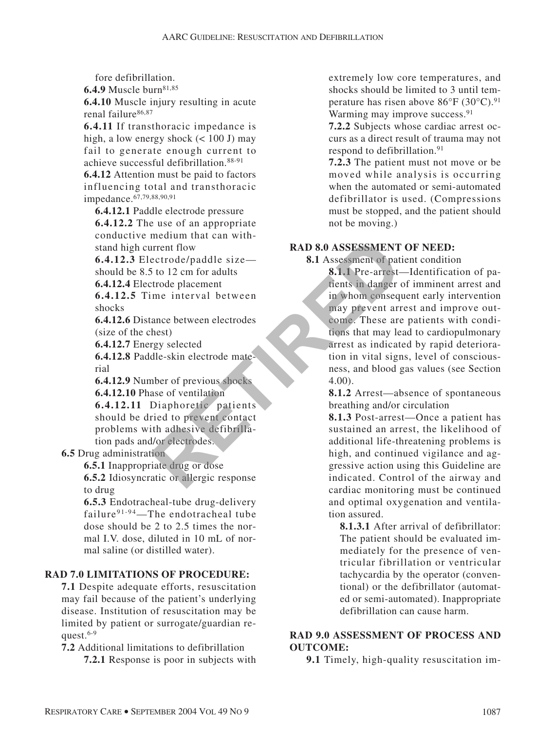fore defibrillation.

**6.4.9** Muscle burn<sup>81,85</sup>

**6.4.10** Muscle injury resulting in acute renal failure86,87

**6.4.11** If transthoracic impedance is high, a low energy shock  $(< 100$  J) may fail to generate enough current to achieve successful defibrillation.88-91

**6.4.12** Attention must be paid to factors influencing total and transthoracic impedance.67,79,88,90,91

**6.4.12.1** Paddle electrode pressure **6.4.12.2** The use of an appropriate conductive medium that can withstand high current flow

**6.4.12.3** Electrode/paddle size should be 8.5 to 12 cm for adults

**6.4.12.4** Electrode placement

**6.4.12.5** Time interval between shocks

**6.4.12.6** Distance between electrodes (size of the chest)

**6.4.12.7** Energy selected

**6.4.12.8** Paddle-skin electrode material

**6.4.12.9** Number of previous shocks **6.4.12.10** Phase of ventilation

**6.4.12.11** Diaphoretic patients should be dried to prevent contact problems with adhesive defibrillation pads and/or electrodes.

**6.5** Drug administration

**6.5.1** Inappropriate drug or dose **6.5.2** Idiosyncratic or allergic response to drug

**6.5.3** Endotracheal-tube drug-delivery failure<sup>91-94</sup>—The endotracheal tube dose should be 2 to 2.5 times the normal I.V. dose, diluted in 10 mL of normal saline (or distilled water).

# **RAD 7.0 LIMITATIONS OF PROCEDURE:**

**7.1** Despite adequate efforts, resuscitation may fail because of the patient's underlying disease. Institution of resuscitation may be limited by patient or surrogate/guardian request. $6-9$ 

**7.2** Additional limitations to defibrillation **7.2.1** Response is poor in subjects with extremely low core temperatures, and shocks should be limited to 3 until temperature has risen above 86°F (30°C).91 Warming may improve success.<sup>91</sup>

**7.2.2** Subjects whose cardiac arrest occurs as a direct result of trauma may not respond to defibrillation.<sup>91</sup>

**7.2.3** The patient must not move or be moved while analysis is occurring when the automated or semi-automated defibrillator is used. (Compressions must be stopped, and the patient should not be moving.)

# **RAD 8.0 ASSESSMENT OF NEED:**

**8.1** Assessment of patient condition

**8.1.1** Pre-arrest—Identification of patients in danger of imminent arrest and in whom consequent early intervention may prevent arrest and improve outcome. These are patients with conditions that may lead to cardiopulmonary arrest as indicated by rapid deterioration in vital signs, level of consciousness, and blood gas values (see Section 4.00). Find the curve of the same of the same of the same of the same of the same between electrodes<br>
in the curve of pacement<br>
and the same between electrodes<br>
the same between electrodes<br>
the same of previous shocks<br>
that alle-

**8.1.2** Arrest—absence of spontaneous breathing and/or circulation

**8.1.3** Post-arrest—Once a patient has sustained an arrest, the likelihood of additional life-threatening problems is high, and continued vigilance and aggressive action using this Guideline are indicated. Control of the airway and cardiac monitoring must be continued and optimal oxygenation and ventilation assured.

**8.1.3.1** After arrival of defibrillator: The patient should be evaluated immediately for the presence of ventricular fibrillation or ventricular tachycardia by the operator (conventional) or the defibrillator (automated or semi-automated). Inappropriate defibrillation can cause harm.

# **RAD 9.0 ASSESSMENT OF PROCESS AND OUTCOME:**

**9.1** Timely, high-quality resuscitation im-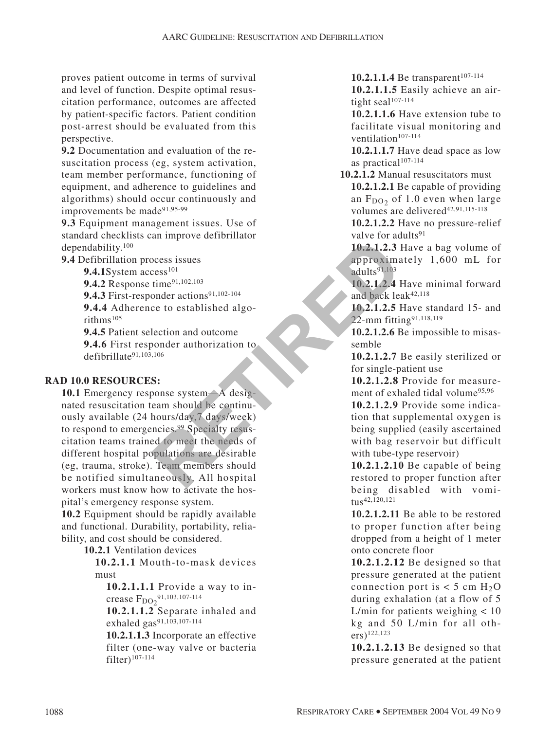proves patient outcome in terms of survival and level of function. Despite optimal resuscitation performance, outcomes are affected by patient-specific factors. Patient condition post-arrest should be evaluated from this perspective.

**9.2** Documentation and evaluation of the resuscitation process (eg, system activation, team member performance, functioning of equipment, and adherence to guidelines and algorithms) should occur continuously and improvements be made91,95-99

**9.3** Equipment management issues. Use of standard checklists can improve defibrillator dependability.100

**9.4** Defibrillation process issues

9.4.1System access<sup>101</sup>

9.4.2 Response time<sup>91,102,103</sup>

9.4.3 First-responder actions<sup>91,102-104</sup>

**9.4.4** Adherence to established algorithms105

**9.4.5** Patient selection and outcome

**9.4.6** First responder authorization to defibrillate91,103,106

#### **RAD 10.0 RESOURCES:**

**10.1** Emergency response system—A designated resuscitation team should be continuously available (24 hours/day,7 days/week) to respond to emergencies.99 Specialty resuscitation teams trained to meet the needs of different hospital populations are desirable (eg, trauma, stroke). Team members should be notified simultaneously. All hospital workers must know how to activate the hospital's emergency response system. Exam since the needs of<br>
The content of the period of the special of the period of the special of the special of the special of the special of the special of the special of the special of the special of the special of the

**10.2** Equipment should be rapidly available and functional. Durability, portability, reliability, and cost should be considered.

**10.2.1** Ventilation devices

**10.2.1.1** Mouth-to-mask devices must

**10.2.1.1.1** Provide a way to increase  $F_{DO2}^{\,91,103,107-114}$ 

**10.2.1.1.2** Separate inhaled and exhaled gas<sup>91,103,107-114</sup>

**10.2.1.1.3** Incorporate an effective filter (one-way valve or bacteria filter)107-114

10.2.1.1.4 Be transparent<sup>107-114</sup> **10.2.1.1.5** Easily achieve an airtight seal<sup>107-114</sup>

**10.2.1.1.6** Have extension tube to facilitate visual monitoring and ventilation<sup>107-114</sup>

**10.2.1.1.7** Have dead space as low as practical<sup>107-114</sup>

**10.2.1.2** Manual resuscitators must **10.2.1.2.1** Be capable of providing an  $F_{DO<sub>2</sub>}$  of 1.0 even when large volumes are delivered<sup>42,91,115-118</sup>

**10.2.1.2.2** Have no pressure-relief valve for adults<sup>91</sup>

**10.2.1.2.3** Have a bag volume of approximately 1,600 mL for adults91,103

**10.2.1.2.4** Have minimal forward and back leak<sup>42,118</sup>

**10.2.1.2.5** Have standard 15- and 22-mm fitting<sup>91,118,119</sup>

**10.2.1.2.6** Be impossible to misassemble

**10.2.1.2.7** Be easily sterilized or for single-patient use

**10.2.1.2.8** Provide for measurement of exhaled tidal volume95,96

**10.2.1.2.9** Provide some indication that supplemental oxygen is being supplied (easily ascertained with bag reservoir but difficult with tube-type reservoir)

**10.2.1.2.10** Be capable of being restored to proper function after being disabled with vomitus42,120,121

**10.2.1.2.11** Be able to be restored to proper function after being dropped from a height of 1 meter onto concrete floor

**10.2.1.2.12** Be designed so that pressure generated at the patient connection port is  $<$  5 cm H<sub>2</sub>O during exhalation (at a flow of 5 L/min for patients weighing < 10 kg and 50 L/min for all others)122,123

**10.2.1.2.13** Be designed so that pressure generated at the patient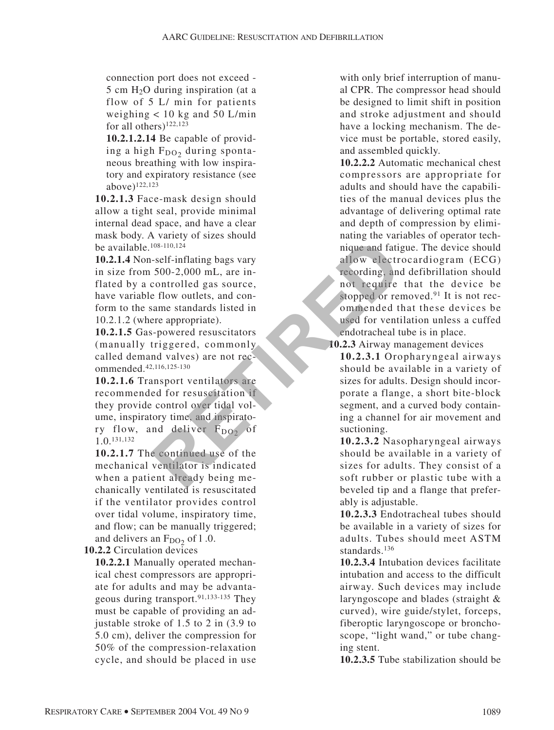connection port does not exceed -  $5 \text{ cm H}_2$ O during inspiration (at a flow of 5 L/ min for patients weighing  $< 10$  kg and 50 L/min for all others)122,123

**10.2.1.2.14** Be capable of providing a high  $F_{DO<sub>2</sub>}$  during spontaneous breathing with low inspiratory and expiratory resistance (see above)122,123

**10.2.1.3** Face-mask design should allow a tight seal, provide minimal internal dead space, and have a clear mask body. A variety of sizes should be available.108-110,124

**10.2.1.4** Non-self-inflating bags vary in size from 500-2,000 mL, are inflated by a controlled gas source, have variable flow outlets, and conform to the same standards listed in 10.2.1.2 (where appropriate). Final times are tandent interesting the same standard line interesting and failure and failure and failure and the same standards listed in the appropriate).<br>
Final time and controlled gas source, the technology and the sa

**10.2.1.5** Gas-powered resuscitators (manually triggered, commonly called demand valves) are not recommended.42,116,125-130

**10.2.1.6** Transport ventilators are recommended for resuscitation if they provide control over tidal volume, inspiratory time, and inspiratory flow, and deliver  $F_{DO2}$  of 1.0.131,132

**10.2.1.7** The continued use of the mechanical ventilator is indicated when a patient already being mechanically ventilated is resuscitated if the ventilator provides control over tidal volume, inspiratory time, and flow; can be manually triggered; and delivers an  $F_{DO<sub>2</sub>}$  of 1.0.

**10.2.2** Circulation devices

**10.2.2.1** Manually operated mechanical chest compressors are appropriate for adults and may be advantageous during transport.91,133-135 They must be capable of providing an adjustable stroke of 1.5 to 2 in (3.9 to 5.0 cm), deliver the compression for 50% of the compression-relaxation cycle, and should be placed in use with only brief interruption of manual CPR. The compressor head should be designed to limit shift in position and stroke adjustment and should have a locking mechanism. The device must be portable, stored easily, and assembled quickly.

**10.2.2.2** Automatic mechanical chest compressors are appropriate for adults and should have the capabilities of the manual devices plus the advantage of delivering optimal rate and depth of compression by eliminating the variables of operator technique and fatigue. The device should allow electrocardiogram (ECG) recording, and defibrillation should not require that the device be stopped or removed. $91$  It is not recommended that these devices be used for ventilation unless a cuffed endotracheal tube is in place.

**10.2.3** Airway management devices

**10.2.3.1** Oropharyngeal airways should be available in a variety of sizes for adults. Design should incorporate a flange, a short bite-block segment, and a curved body containing a channel for air movement and suctioning.

**10.2.3.2** Nasopharyngeal airways should be available in a variety of sizes for adults. They consist of a soft rubber or plastic tube with a beveled tip and a flange that preferably is adjustable.

**10.2.3.3** Endotracheal tubes should be available in a variety of sizes for adults. Tubes should meet ASTM standards.136

**10.2.3.4** Intubation devices facilitate intubation and access to the difficult airway. Such devices may include laryngoscope and blades (straight & curved), wire guide/stylet, forceps, fiberoptic laryngoscope or bronchoscope, "light wand," or tube changing stent.

**10.2.3.5** Tube stabilization should be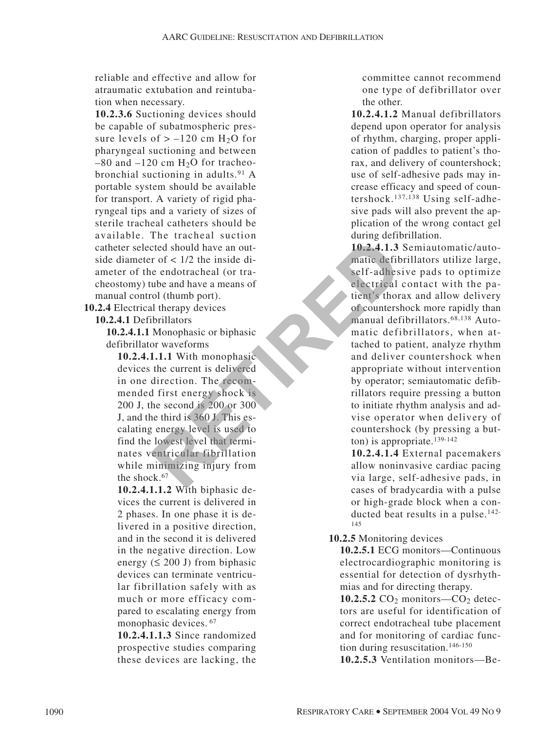reliable and effective and allow for atraumatic extubation and reintubation when necessary.

**10.2.3.6** Suctioning devices should be capable of subatmospheric pressure levels of  $> -120$  cm H<sub>2</sub>O for pharyngeal suctioning and between  $-80$  and  $-120$  cm  $H<sub>2</sub>O$  for tracheobronchial suctioning in adults.91 A portable system should be available for transport. A variety of rigid pharyngeal tips and a variety of sizes of sterile tracheal catheters should be available. The tracheal suction catheter selected should have an outside diameter of  $< 1/2$  the inside diameter of the endotracheal (or tracheostomy) tube and have a means of manual control (thumb port).

**10.2.4** Electrical therapy devices

**10.2.4.1** Defibrillators

**10.2.4.1.1** Monophasic or biphasic defibrillator waveforms

**10.2.4.1.1.1** With monophasic devices the current is delivered in one direction. The recommended first energy shock is 200 J, the second is 200 or 300 J, and the third is 360 J. This escalating energy level is used to find the lowest level that terminates ventricular fibrillation while minimizing injury from the shock.<sup>67</sup> For the theorem of the the term of the term of the term of the term of the term of the term of the and have a means of<br>
a matic defibered and have a means of<br>
a matic defibered the self-adhes<br>
be and have a means of<br>
a mat

**10.2.4.1.1.2** With biphasic devices the current is delivered in 2 phases. In one phase it is delivered in a positive direction, and in the second it is delivered in the negative direction. Low energy  $( \leq 200 \text{ J})$  from biphasic devices can terminate ventricular fibrillation safely with as much or more efficacy compared to escalating energy from monophasic devices. <sup>67</sup>

**10.2.4.1.1.3** Since randomized prospective studies comparing these devices are lacking, the committee cannot recommend one type of defibrillator over the other.

**10.2.4.1.2** Manual defibrillators depend upon operator for analysis of rhythm, charging, proper application of paddles to patient's thorax, and delivery of countershock; use of self-adhesive pads may increase efficacy and speed of countershock.137,138 Using self-adhesive pads will also prevent the application of the wrong contact gel during defibrillation.

**10.2.4.1.3** Semiautomatic/automatic defibrillators utilize large, self-adhesive pads to optimize electrical contact with the patient's thorax and allow delivery of countershock more rapidly than manual defibrillators.68,138 Automatic defibrillators, when attached to patient, analyze rhythm and deliver countershock when appropriate without intervention by operator; semiautomatic defibrillators require pressing a button to initiate rhythm analysis and advise operator when delivery of countershock (by pressing a button) is appropriate.<sup>139-142</sup>

**10.2.4.1.4** External pacemakers allow noninvasive cardiac pacing via large, self-adhesive pads, in cases of bradycardia with a pulse or high-grade block when a conducted beat results in a pulse.<sup>142-</sup> 145

#### **10.2.5** Monitoring devices

**10.2.5.1** ECG monitors—Continuous electrocardiographic monitoring is essential for detection of dysrhythmias and for directing therapy.

**10.2.5.2**  $CO<sub>2</sub>$  monitors— $CO<sub>2</sub>$  detectors are useful for identification of correct endotracheal tube placement and for monitoring of cardiac function during resuscitation.146-150

**10.2.5.3** Ventilation monitors—Be-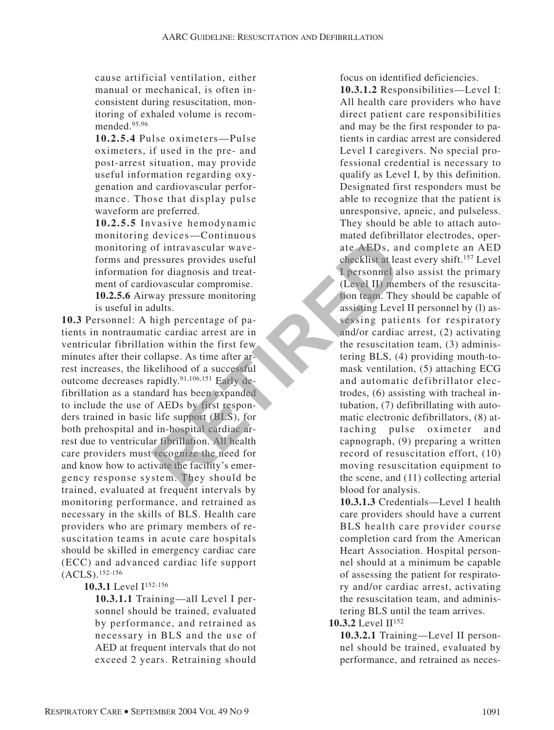cause artificial ventilation, either manual or mechanical, is often inconsistent during resuscitation, monitoring of exhaled volume is recommended.95,96

**10.2.5.4** Pulse oximeters—Pulse oximeters, if used in the pre- and post-arrest situation, may provide useful information regarding oxygenation and cardiovascular performance. Those that display pulse waveform are preferred.

**10.2.5.5** Invasive hemodynamic monitoring devices—Continuous monitoring of intravascular waveforms and pressures provides useful information for diagnosis and treatment of cardiovascular compromise. **10.2.5.6** Airway pressure monitoring is useful in adults.

**10.3** Personnel: A high percentage of patients in nontraumatic cardiac arrest are in ventricular fibrillation within the first few minutes after their collapse. As time after arrest increases, the likelihood of a successful outcome decreases rapidly.91,106,151 Early defibrillation as a standard has been expanded to include the use of AEDs by first responders trained in basic life support (BLS), for both prehospital and in-hospital cardiac arrest due to ventricular fibrillation. All health care providers must recognize the need for and know how to activate the facility's emergency response system. They should be trained, evaluated at frequent intervals by monitoring performance, and retrained as necessary in the skills of BLS. Health care providers who are primary members of resuscitation teams in acute care hospitals should be skilled in emergency cardiac care (ECC) and advanced cardiac life support (ACLS).152-156 For the couple of the couple and the couple the session of the couple and the couple and the couple and the couple and the couple and the couple and the couple and at the most and the couple and the couple and the couple a

# **10.3.1** Level I152-156

**10.3.1.1** Training—all Level I personnel should be trained, evaluated by performance, and retrained as necessary in BLS and the use of AED at frequent intervals that do not exceed 2 years. Retraining should focus on identified deficiencies.

**10.3.1.2** Responsibilities—Level I: All health care providers who have direct patient care responsibilities and may be the first responder to patients in cardiac arrest are considered Level I caregivers. No special professional credential is necessary to qualify as Level I, by this definition. Designated first responders must be able to recognize that the patient is unresponsive, apneic, and pulseless. They should be able to attach automated defibrillator electrodes, operate AEDs, and complete an AED checklist at least every shift.157 Level I personnel also assist the primary (Level II) members of the resuscitation team. They should be capable of assisting Level II personnel by (l) assessing patients for respiratory and/or cardiac arrest, (2) activating the resuscitation team, (3) administering BLS, (4) providing mouth-tomask ventilation, (5) attaching ECG and automatic defibrillator electrodes, (6) assisting with tracheal intubation, (7) defibrillating with automatic electronic defibrillators, (8) attaching pulse oximeter and capnograph, (9) preparing a written record of resuscitation effort, (10) moving resuscitation equipment to the scene, and (11) collecting arterial blood for analysis.

**10.3.1.3** Credentials—Level I health care providers should have a current BLS health care provider course completion card from the American Heart Association. Hospital personnel should at a minimum be capable of assessing the patient for respiratory and/or cardiac arrest, activating the resuscitation team, and administering BLS until the team arrives.

10.3.2 Level  $II^{152}$ 

**10.3.2.1** Training—Level II personnel should be trained, evaluated by performance, and retrained as neces-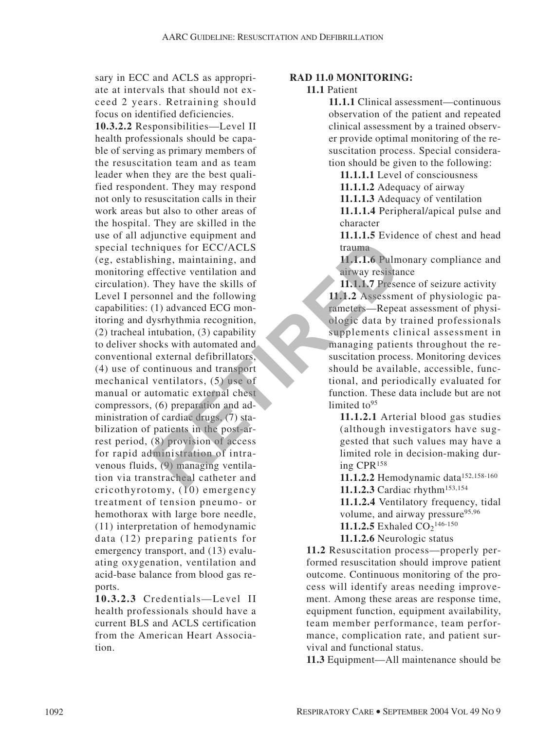sary in ECC and ACLS as appropriate at intervals that should not exceed 2 years. Retraining should focus on identified deficiencies.

**10.3.2.2** Responsibilities—Level II health professionals should be capable of serving as primary members of the resuscitation team and as team leader when they are the best qualified respondent. They may respond not only to resuscitation calls in their work areas but also to other areas of the hospital. They are skilled in the use of all adjunctive equipment and special techniques for ECC/ACLS (eg, establishing, maintaining, and monitoring effective ventilation and circulation). They have the skills of Level I personnel and the following capabilities: (1) advanced ECG monitoring and dysrhythmia recognition, (2) tracheal intubation, (3) capability to deliver shocks with automated and conventional external defibrillators, (4) use of continuous and transport mechanical ventilators, (5) use of manual or automatic external chest compressors, (6) preparation and administration of cardiac drugs, (7) stabilization of patients in the post-arrest period, (8) provision of access for rapid administration of intravenous fluids, (9) managing ventilation via transtracheal catheter and cricothyrotomy, (10) emergency treatment of tension pneumo- or hemothorax with large bore needle, (11) interpretation of hemodynamic data (12) preparing patients for emergency transport, and (13) evaluating oxygenation, ventilation and acid-base balance from blood gas reports. Find the strain of the particular and the post-<br>
miques for ECC/ACLS<br>
hing, maintaining, and<br>
ffective ventilation and<br>
They have the skills of<br>
They have the skills of<br>
They have the skills of<br>
They have the skills of<br>
Th

**10.3.2.3** Credentials—Level II health professionals should have a current BLS and ACLS certification from the American Heart Association.

#### **RAD 11.0 MONITORING:**

#### **11.1** Patient

**11.1.1** Clinical assessment—continuous observation of the patient and repeated clinical assessment by a trained observer provide optimal monitoring of the resuscitation process. Special consideration should be given to the following:

**11.1.1.1** Level of consciousness

**11.1.1.2** Adequacy of airway

**11.1.1.3** Adequacy of ventilation

**11.1.1.4** Peripheral/apical pulse and character

**11.1.1.5** Evidence of chest and head trauma

**11.1.1.6** Pulmonary compliance and airway resistance

**11.1.1.7** Presence of seizure activity **11.1.2** Assessment of physiologic parameters—Repeat assessment of physiologic data by trained professionals supplements clinical assessment in managing patients throughout the resuscitation process. Monitoring devices should be available, accessible, functional, and periodically evaluated for function. These data include but are not limited to  $95$ 

**11.1.2.1** Arterial blood gas studies (although investigators have suggested that such values may have a limited role in decision-making during CPR158

11.1.2.2 Hemodynamic data<sup>152,158-160</sup> 11.1.2.3 Cardiac rhythm<sup>153,154</sup>

**11.1.2.4** Ventilatory frequency, tidal volume, and airway pressure<sup>95,96</sup>

**11.1.2.5** Exhaled  $CO_2$ <sup>146-150</sup>

**11.1.2.6** Neurologic status

**11.2** Resuscitation process—properly performed resuscitation should improve patient outcome. Continuous monitoring of the process will identify areas needing improvement. Among these areas are response time, equipment function, equipment availability, team member performance, team performance, complication rate, and patient survival and functional status.

**11.3** Equipment—All maintenance should be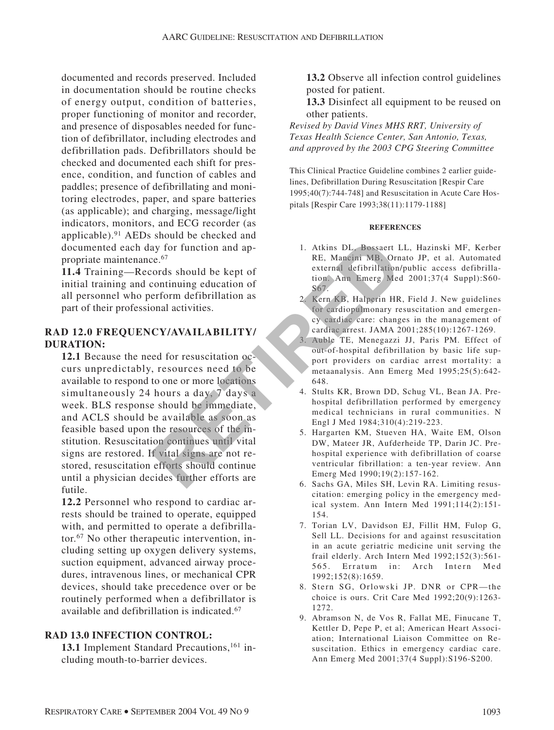documented and records preserved. Included in documentation should be routine checks of energy output, condition of batteries, proper functioning of monitor and recorder, and presence of disposables needed for function of defibrillator, including electrodes and defibrillation pads. Defibrillators should be checked and documented each shift for presence, condition, and function of cables and paddles; presence of defibrillating and monitoring electrodes, paper, and spare batteries (as applicable); and charging, message/light indicators, monitors, and ECG recorder (as applicable).91 AEDs should be checked and documented each day for function and appropriate maintenance.67

**11.4** Training—Records should be kept of initial training and continuing education of all personnel who perform defibrillation as part of their professional activities.

#### **RAD 12.0 FREQUENCY/AVAILABILITY/ DURATION:**

**12.1** Because the need for resuscitation occurs unpredictably, resources need to be available to respond to one or more locations simultaneously 24 hours a day, 7 days a week. BLS response should be immediate, and ACLS should be available as soon as feasible based upon the resources of the institution. Resuscitation continues until vital signs are restored. If vital signs are not restored, resuscitation efforts should continue until a physician decides further efforts are futile. **Example 12**<br> **RETA Mancini MB, Orn**<br> **RETA** Mancini MB, Orn<br>
cords should be kept of<br>
continuing education of<br> **RETIRED**<br>
continuing education of<br> **RETIRED**<br> **RETIRED**<br>
continuing education of<br> **RETIRED**<br>
continuing educa

**12.2** Personnel who respond to cardiac arrests should be trained to operate, equipped with, and permitted to operate a defibrillator.67 No other therapeutic intervention, including setting up oxygen delivery systems, suction equipment, advanced airway procedures, intravenous lines, or mechanical CPR devices, should take precedence over or be routinely performed when a defibrillator is available and defibrillation is indicated.67

#### **RAD 13.0 INFECTION CONTROL:**

13.1 Implement Standard Precautions,<sup>161</sup> including mouth-to-barrier devices.

**13.2** Observe all infection control guidelines posted for patient.

**13.3** Disinfect all equipment to be reused on other patients.

*Revised by David Vines MHS RRT, University of Texas Health Science Center, San Antonio, Texas, and approved by the 2003 CPG Steering Committee*

This Clinical Practice Guideline combines 2 earlier guidelines, Defibrillation During Resuscitation [Respir Care 1995;40(7):744-748] and Resuscitation in Acute Care Hospitals [Respir Care 1993;38(11):1179-1188]

#### **REFERENCES**

- 1. Atkins DL, Bossaert LL, Hazinski MF, Kerber RE, Mancini MB, Ornato JP, et al. Automated external defibrillation/public access defibrillation. Ann Emerg Med 2001;37(4 Suppl):S60- S67.
- 2. Kern KB, Halperin HR, Field J. New guidelines for cardiopulmonary resuscitation and emergency cardiac care: changes in the management of cardiac arrest. JAMA 2001;285(10):1267-1269.
- 3. Auble TE, Menegazzi JJ, Paris PM. Effect of out-of-hospital defibrillation by basic life support providers on cardiac arrest mortality: a metaanalysis. Ann Emerg Med 1995;25(5):642- 648.
- 4. Stults KR, Brown DD, Schug VL, Bean JA. Prehospital defibrillation performed by emergency medical technicians in rural communities. N Engl J Med 1984;310(4):219-223.
- 5. Hargarten KM, Stueven HA, Waite EM, Olson DW, Mateer JR, Aufderheide TP, Darin JC. Prehospital experience with defibrillation of coarse ventricular fibrillation: a ten-year review. Ann Emerg Med 1990;19(2):157-162.
- 6. Sachs GA, Miles SH, Levin RA. Limiting resuscitation: emerging policy in the emergency medical system. Ann Intern Med 1991;114(2):151- 154.
- 7. Torian LV, Davidson EJ, Fillit HM, Fulop G, Sell LL. Decisions for and against resuscitation in an acute geriatric medicine unit serving the frail elderly. Arch Intern Med 1992;152(3):561- 565. Erratum in: Arch Intern Med 1992;152(8):1659.
- 8. Stern SG, Orlowski JP. DNR or CPR—the choice is ours. Crit Care Med 1992;20(9):1263- 1272.
- 9. Abramson N, de Vos R, Fallat ME, Finucane T, Kettler D, Pepe P, et al; American Heart Association; International Liaison Committee on Resuscitation. Ethics in emergency cardiac care. Ann Emerg Med 2001;37(4 Suppl):S196-S200.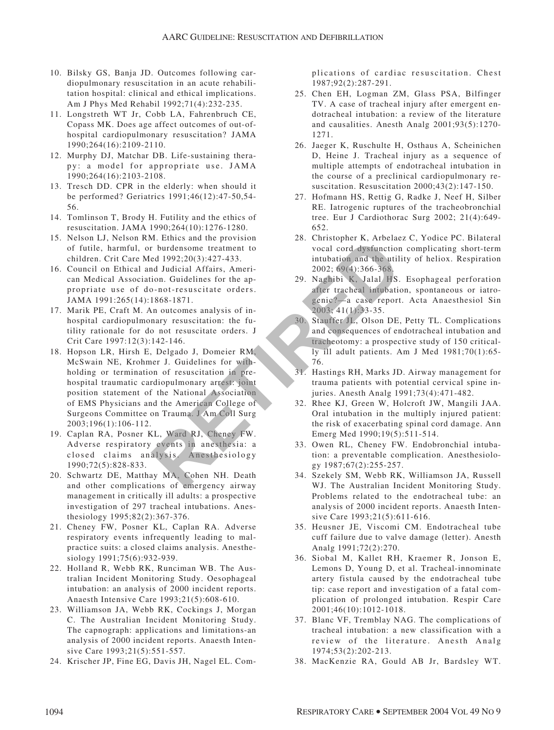- 10. Bilsky GS, Banja JD. Outcomes following cardiopulmonary resuscitation in an acute rehabilitation hospital: clinical and ethical implications. Am J Phys Med Rehabil 1992;71(4):232-235.
- 11. Longstreth WT Jr, Cobb LA, Fahrenbruch CE, Copass MK. Does age affect outcomes of out-ofhospital cardiopulmonary resuscitation? JAMA 1990;264(16):2109-2110.
- 12. Murphy DJ, Matchar DB. Life-sustaining therapy: a model for appropriate use. JAMA 1990;264(16):2103-2108.
- 13. Tresch DD. CPR in the elderly: when should it be performed? Geriatrics 1991;46(12):47-50,54- 56.
- 14. Tomlinson T, Brody H. Futility and the ethics of resuscitation. JAMA 1990;264(10):1276-1280.
- 15. Nelson LJ, Nelson RM. Ethics and the provision of futile, harmful, or burdensome treatment to children. Crit Care Med 1992;20(3):427-433.
- 16. Council on Ethical and Judicial Affairs, American Medical Association. Guidelines for the appropriate use of do-not-resuscitate orders. JAMA 1991:265(14):1868-1871.
- 17. Marik PE, Craft M. An outcomes analysis of inhospital cardiopulmonary resuscitation: the futility rationale for do not resuscitate orders. J Crit Care 1997:12(3):142-146.
- 18. Hopson LR, Hirsh E, Delgado J, Domeier RM, McSwain NE, Krohmer J. Guidelines for withholding or termination of resuscitation in prehospital traumatic cardiopulmonary arrest: joint position statement of the National Association of EMS Physicians and the American College of Surgeons Committee on Trauma. J Am Coll Surg 2003;196(1):106-112. **RETAINMALL CONSTRANT CONSTRANT A SERVIS (2003, A SERVIS (2003, A SERVIS 1903, A SERVIS 1903, A SERVIS 1903, A SERVIS 1903, A SERVIS 1903, A SERVIS 1903, A SERVIS 1903, A SERVIS 1903, A SERVIS 1903, A SERVIS 1903, A SERVIS**
- 19. Caplan RA, Posner KL, Ward RJ, Cheney FW. Adverse respiratory events in anesthesia: a closed claims analysis. Anesthesiology 1990;72(5):828-833.
- 20. Schwartz DE, Matthay MA, Cohen NH. Death and other complications of emergency airway management in critically ill adults: a prospective investigation of 297 tracheal intubations. Anesthesiology 1995;82(2):367-376.
- 21. Cheney FW, Posner KL, Caplan RA. Adverse respiratory events infrequently leading to malpractice suits: a closed claims analysis. Anesthesiology 1991;75(6):932-939.
- 22. Holland R, Webb RK, Runciman WB. The Australian Incident Monitoring Study. Oesophageal intubation: an analysis of 2000 incident reports. Anaesth Intensive Care 1993;21(5):608-610.
- 23. Williamson JA, Webb RK, Cockings J, Morgan C. The Australian Incident Monitoring Study. The capnograph: applications and limitations-an analysis of 2000 incident reports. Anaesth Intensive Care 1993;21(5):551-557.
- 24. Krischer JP, Fine EG, Davis JH, Nagel EL. Com-

plications of cardiac resuscitation. Chest 1987;92(2):287-291.

- 25. Chen EH, Logman ZM, Glass PSA, Bilfinger TV. A case of tracheal injury after emergent endotracheal intubation: a review of the literature and causalities. Anesth Analg 2001;93(5):1270- 1271.
- 26. Jaeger K, Ruschulte H, Osthaus A, Scheinichen D, Heine J. Tracheal injury as a sequence of multiple attempts of endotracheal intubation in the course of a preclinical cardiopulmonary resuscitation. Resuscitation 2000;43(2):147-150.
- 27. Hofmann HS, Rettig G, Radke J, Neef H, Silber RE. Iatrogenic ruptures of the tracheobronchial tree. Eur J Cardiothorac Surg 2002; 21(4):649- 652.
- 28. Christopher K, Arbelaez C, Yodice PC. Bilateral vocal cord dysfunction complicating short-term intubation and the utility of heliox. Respiration 2002; 69(4):366-368.
- 29. Naghibi K, Jalal HS. Esophageal perforation after tracheal intubation, spontaneous or iatrogenic?—a case report. Acta Anaesthesiol Sin 2003; 41(1):33-35.
- 30. Stauffer JL, Olson DE, Petty TL. Complications and consequences of endotracheal intubation and tracheotomy: a prospective study of 150 critically ill adult patients. Am J Med 1981;70(1):65- 76.
- 31. Hastings RH, Marks JD. Airway management for trauma patients with potential cervical spine injuries. Anesth Analg 1991;73(4):471-482.
- 32. Rhee KJ, Green W, Holcroft JW, Mangili JAA. Oral intubation in the multiply injured patient: the risk of exacerbating spinal cord damage. Ann Emerg Med 1990;19(5):511-514.
- 33. Owen RL, Cheney FW. Endobronchial intubation: a preventable complication. Anesthesiology 1987;67(2):255-257.
- 34. Szekely SM, Webb RK, Williamson JA, Russell WJ. The Australian Incident Monitoring Study. Problems related to the endotracheal tube: an analysis of 2000 incident reports. Anaesth Intensive Care 1993;21(5):611-616.
- 35. Heusner JE, Viscomi CM. Endotracheal tube cuff failure due to valve damage (letter). Anesth Analg 1991;72(2):270.
- 36. Siobal M, Kallet RH, Kraemer R, Jonson E, Lemons D, Young D, et al. Tracheal-innominate artery fistula caused by the endotracheal tube tip: case report and investigation of a fatal complication of prolonged intubation. Respir Care 2001;46(10):1012-1018.
- 37. Blanc VF, Tremblay NAG. The complications of tracheal intubation: a new classification with a review of the literature. Anesth Analg 1974;53(2):202-213.
- 38. MacKenzie RA, Gould AB Jr, Bardsley WT.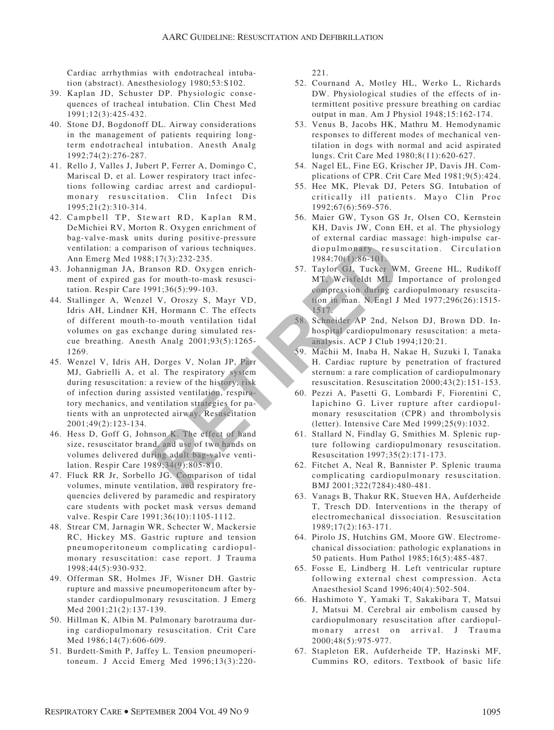Cardiac arrhythmias with endotracheal intubation (abstract). Anesthesiology 1980;53:S102.

- 39. Kaplan JD, Schuster DP. Physiologic consequences of tracheal intubation. Clin Chest Med 1991;12(3):425-432.
- 40. Stone DJ, Bogdonoff DL. Airway considerations in the management of patients requiring longterm endotracheal intubation. Anesth Analg 1992;74(2):276-287.
- 41. Rello J, Valles J, Jubert P, Ferrer A, Domingo C, Mariscal D, et al. Lower respiratory tract infections following cardiac arrest and cardiopulmonary resuscitation. Clin Infect Dis 1995;21(2):310-314.
- 42. Campbell TP, Stewart RD, Kaplan RM, DeMichiei RV, Morton R. Oxygen enrichment of bag-valve-mask units during positive-pressure ventilation: a comparison of various techniques. Ann Emerg Med 1988;17(3):232-235.
- 43. Johannigman JA, Branson RD. Oxygen enrichment of expired gas for mouth-to-mask resuscitation. Respir Care 1991;36(5):99-103.
- 44. Stallinger A, Wenzel V, Oroszy S, Mayr VD, Idris AH, Lindner KH, Hormann C. The effects of different mouth-to-mouth ventilation tidal volumes on gas exchange during simulated rescue breathing. Anesth Analg 2001;93(5):1265- 1269.
- 45. Wenzel V, Idris AH, Dorges V, Nolan JP, Parr MJ, Gabrielli A, et al. The respiratory system during resuscitation: a review of the history, risk of infection during assisted ventilation, respiratory mechanics, and ventilation strategies for patients with an unprotected airway. Resuscitation 2001;49(2):123-134. For the state of two lands and the state of times and the state of times and the state of the state of the state of the state of the state of the state of the state of the state of the state of the state of the state of th
- 46. Hess D, Goff G, Johnson K. The effect of hand size, resuscitator brand, and use of two hands on volumes delivered during adult bag-valve ventilation. Respir Care 1989;34(9):805-810.
- 47. Fluck RR Jr, Sorbello JG. Comparison of tidal volumes, minute ventilation, and respiratory frequencies delivered by paramedic and respiratory care students with pocket mask versus demand valve. Respir Care 1991;36(10):1105-1112.
- 48. Strear CM, Jarnagin WR, Schecter W, Mackersie RC, Hickey MS. Gastric rupture and tension pneumoperitoneum complicating cardiopulmonary resuscitation: case report. J Trauma 1998;44(5):930-932.
- 49. Offerman SR, Holmes JF, Wisner DH. Gastric rupture and massive pneumoperitoneum after bystander cardiopulmonary resuscitation. J Emerg Med 2001;21(2):137-139.
- 50. Hillman K, Albin M. Pulmonary barotrauma during cardiopulmonary resuscitation. Crit Care Med 1986;14(7):606-609.
- 51. Burdett-Smith P, Jaffey L. Tension pneumoperitoneum. J Accid Emerg Med 1996;13(3):220-

221.

- 52. Cournand A, Motley HL, Werko L, Richards DW. Physiological studies of the effects of intermittent positive pressure breathing on cardiac output in man. Am J Physiol 1948;15:162-174.
- 53. Venus B, Jacobs HK, Mathru M. Hemodynamic responses to different modes of mechanical ventilation in dogs with normal and acid aspirated lungs. Crit Care Med 1980;8(11):620-627.
- 54. Nagel EL, Fine EG, Krischer JP, Davis JH. Complications of CPR. Crit Care Med 1981;9(5):424.
- 55. Hee MK, Plevak DJ, Peters SG. Intubation of critically ill patients. Mayo Clin Proc 1992;67(6):569-576.
- 56. Maier GW, Tyson GS Jr, Olsen CO, Kernstein KH, Davis JW, Conn EH, et al. The physiology of external cardiac massage: high-impulse cardiopulmonary resuscitation. Circulation 1984;70(1):86-101.
- 57. Taylor GJ, Tucker WM, Greene HL, Rudikoff MT, Weisfeldt ML. Importance of prolonged compression during cardiopulmonary resuscitation in man. N Engl J Med 1977;296(26):1515- 1517.
- 58. Schneider AP 2nd, Nelson DJ, Brown DD. Inhospital cardiopulmonary resuscitation: a metaanalysis. ACP J Club 1994;120:21.
- 59. Machii M, Inaba H, Nakae H, Suzuki I, Tanaka H. Cardiac rupture by penetration of fractured sternum: a rare complication of cardiopulmonary resuscitation. Resuscitation 2000;43(2):151-153.
- 60. Pezzi A, Pasetti G, Lombardi F, Fiorentini C, Iapichino G. Liver rupture after cardiopulmonary resuscitation (CPR) and thrombolysis (letter). Intensive Care Med 1999;25(9):1032.
- 61. Stallard N, Findlay G, Smithies M. Splenic rupture following cardiopulmonary resuscitation. Resuscitation 1997;35(2):171-173.
- 62. Fitchet A, Neal R, Bannister P. Splenic trauma complicating cardiopulmonary resuscitation. BMJ 2001;322(7284):480-481.
- 63. Vanags B, Thakur RK, Stueven HA, Aufderheide T, Tresch DD. Interventions in the therapy of electromechanical dissociation. Resuscitation 1989;17(2):163-171.
- 64. Pirolo JS, Hutchins GM, Moore GW. Electromechanical dissociation: pathologic explanations in 50 patients. Hum Pathol 1985;16(5):485-487.
- 65. Fosse E, Lindberg H. Left ventricular rupture following external chest compression. Acta Anaesthesiol Scand 1996;40(4):502-504.
- 66. Hashimoto Y, Yamaki T, Sakakibara T, Matsui J, Matsui M. Cerebral air embolism caused by cardiopulmonary resuscitation after cardiopulmonary arrest on arrival. J Trauma 2000;48(5):975-977.
- 67. Stapleton ER, Aufderheide TP, Hazinski MF, Cummins RO, editors. Textbook of basic life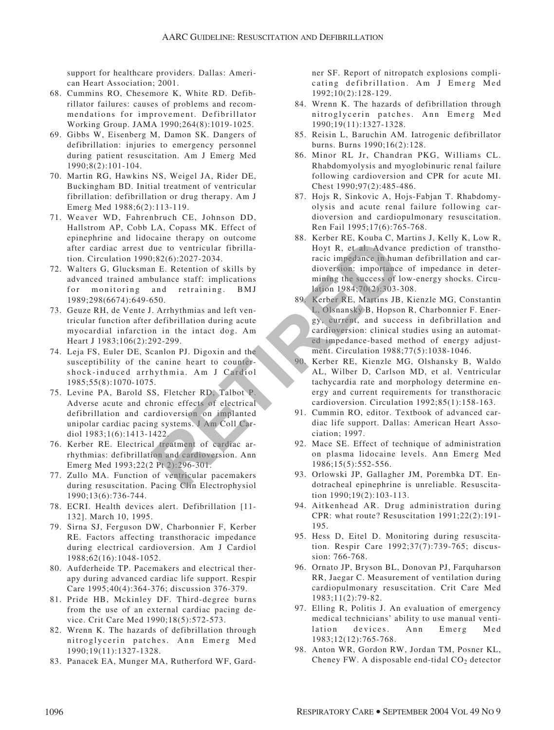support for healthcare providers. Dallas: American Heart Association; 2001.

- 68. Cummins RO, Chesemore K, White RD. Defibrillator failures: causes of problems and recommendations for improvement. Defibrillator Working Group. JAMA 1990;264(8):1019-1025.
- 69. Gibbs W, Eisenberg M, Damon SK. Dangers of defibrillation: injuries to emergency personnel during patient resuscitation. Am J Emerg Med 1990;8(2):101-104.
- 70. Martin RG, Hawkins NS, Weigel JA, Rider DE, Buckingham BD. Initial treatment of ventricular fibrillation: defibrillation or drug therapy. Am J Emerg Med 1988;6(2):113-119.
- 71. Weaver WD, Fahrenbruch CE, Johnson DD, Hallstrom AP, Cobb LA, Copass MK. Effect of epinephrine and lidocaine therapy on outcome after cardiac arrest due to ventricular fibrillation. Circulation 1990;82(6):2027-2034.
- 72. Walters G, Glucksman E. Retention of skills by advanced trained ambulance staff: implications for monitoring and retraining. BMJ 1989;298(6674):649-650.
- 73. Geuze RH, de Vente J. Arrhythmias and left ventricular function after defibrillation during acute myocardial infarction in the intact dog. Am Heart J 1983;106(2):292-299.
- 74. Leja FS, Euler DE, Scanlon PJ. Digoxin and the susceptibility of the canine heart to countershock-induced arrhythmia. Am J Cardiol 1985;55(8):1070-1075.
- 75. Levine PA, Barold SS, Fletcher RD, Talbot P. Adverse acute and chronic effects of electrical defibrillation and cardioversion on implanted unipolar cardiac pacing systems. J Am Coll Cardiol 1983;1(6):1413-1422.
- 76. Kerber RE. Electrical treatment of cardiac arrhythmias: defibrillation and cardioversion. Ann Emerg Med 1993;22(2 Pt 2):296-301.
- 77. Zullo MA. Function of ventricular pacemakers during resuscitation. Pacing Clin Electrophysiol 1990;13(6):736-744.
- 78. ECRI. Health devices alert. Defibrillation [11- 132]. March 10, 1995.
- 79. Sirna SJ, Ferguson DW, Charbonnier F, Kerber RE. Factors affecting transthoracic impedance during electrical cardioversion. Am J Cardiol 1988;62(16):1048-1052.
- 80. Aufderheide TP. Pacemakers and electrical therapy during advanced cardiac life support. Respir Care 1995;40(4):364-376; discussion 376-379.
- 81. Pride HB, Mckinley DF. Third-degree burns from the use of an external cardiac pacing device. Crit Care Med 1990;18(5):572-573.
- 82. Wrenn K. The hazards of defibrillation through nitroglycerin patches. Ann Emerg Med 1990;19(11):1327-1328.
- 83. Panacek EA, Munger MA, Rutherford WF, Gard-

ner SF. Report of nitropatch explosions complicating defibrillation. Am J Emerg Med 1992;10(2):128-129.

- 84. Wrenn K. The hazards of defibrillation through nitroglycerin patches. Ann Emerg Med 1990;19(11):1327-1328.
- 85. Reisin L, Baruchin AM. Iatrogenic defibrillator burns. Burns 1990;16(2):128.
- 86. Minor RL Jr, Chandran PKG, Williams CL. Rhabdomyolysis and myoglobinuric renal failure following cardioversion and CPR for acute MI. Chest 1990;97(2):485-486.
- 87. Hojs R, Sinkovic A, Hojs-Fabjan T. Rhabdomyolysis and acute renal failure following cardioversion and cardiopulmonary resuscitation. Ren Fail 1995;17(6):765-768.
- 88. Kerber RE, Kouba C, Martins J, Kelly K, Low R, Hoyt R, et al. Advance prediction of transthoracic impedance in human defibrillation and cardioversion: importance of impedance in determining the success of low-energy shocks. Circulation 1984;70(2):303-308.
- 89. Kerber RE, Martins JB, Kienzle MG, Constantin L, Olsnansky B, Hopson R, Charbonnier F. Energy, current, and success in defibrillation and cardioversion: clinical studies using an automated impedance-based method of energy adjustment. Circulation 1988;77(5):1038-1046. Came the training of outcome<br>
1. Hoyt R, et al. Advance<br>
1.82(6):2027-2034.<br>
The E. Retention of skills by<br>
bulance staff: implications<br>
mining the success of the membersion: importance<br>
and retraining. BMJ<br>
2. Olsnansky B
	- 90. Kerber RE, Kienzle MG, Olshansky B, Waldo AL, Wilber D, Carlson MD, et al. Ventricular tachycardia rate and morphology determine energy and current requirements for transthoracic cardioversion. Circulation 1992;85(1):158-163.
	- 91. Cummin RO, editor. Textbook of advanced cardiac life support. Dallas: American Heart Association; 1997.
	- 92. Mace SE. Effect of technique of administration on plasma lidocaine levels. Ann Emerg Med 1986;15(5):552-556.
	- 93. Orlowski JP, Gallagher JM, Porembka DT. Endotracheal epinephrine is unreliable. Resuscitation 1990;19(2):103-113.
	- 94. Aitkenhead AR. Drug administration during CPR: what route? Resuscitation 1991;22(2):191- 195.
	- 95. Hess D, Eitel D. Monitoring during resuscitation. Respir Care 1992;37(7):739-765; discussion: 766-768.
	- 96. Ornato JP, Bryson BL, Donovan PJ, Farquharson RR, Jaegar C. Measurement of ventilation during cardiopulmonary resuscitation. Crit Care Med 1983;11(2):79-82.
	- 97. Elling R, Politis J. An evaluation of emergency medical technicians' ability to use manual ventilation devices. Ann Emerg Med 1983;12(12):765-768.
	- 98. Anton WR, Gordon RW, Jordan TM, Posner KL, Cheney FW. A disposable end-tidal  $CO<sub>2</sub>$  detector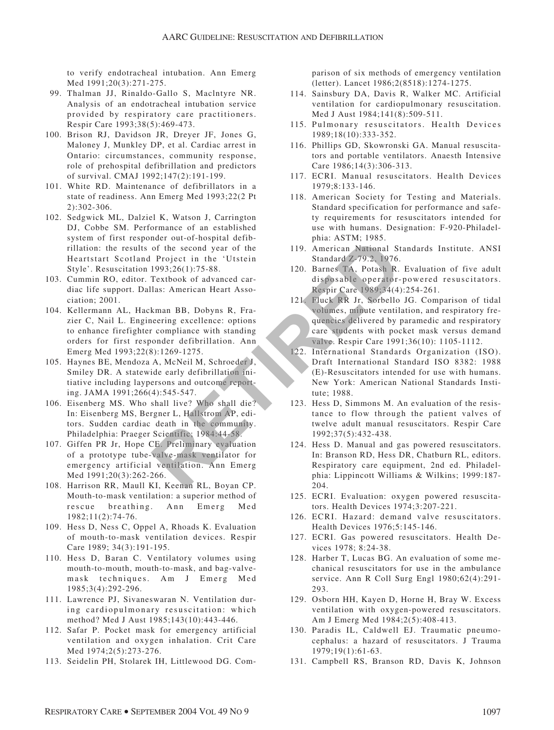to verify endotracheal intubation. Ann Emerg Med 1991;20(3):271-275.

- 99. Thalman JJ, Rinaldo-Gallo S, Maclntyre NR. Analysis of an endotracheal intubation service provided by respiratory care practitioners. Respir Care 1993;38(5):469-473.
- 100. Brison RJ, Davidson JR, Dreyer JF, Jones G, Maloney J, Munkley DP, et al. Cardiac arrest in Ontario: circumstances, community response, role of prehospital defibrillation and predictors of survival. CMAJ 1992;147(2):191-199.
- 101. White RD. Maintenance of defibrillators in a state of readiness. Ann Emerg Med 1993;22(2 Pt 2):302-306.
- 102. Sedgwick ML, Dalziel K, Watson J, Carrington DJ, Cobbe SM. Performance of an established system of first responder out-of-hospital defibrillation: the results of the second year of the Heartstart Scotland Project in the 'Utstein Style'. Resuscitation 1993;26(1):75-88.
- 103. Cummin RO, editor. Textbook of advanced cardiac life support. Dallas: American Heart Association; 2001.
- 104. Kellermann AL, Hackman BB, Dobyns R, Frazier C, Nail L. Engineering excellence: options to enhance firefighter compliance with standing orders for first responder defibrillation. Ann Emerg Med 1993;22(8):1269-1275.
- 105. Haynes BE, Mendoza A, McNeil M, Schroeder J, Smiley DR. A statewide early defibrillation initiative including laypersons and outcome reporting. JAMA 1991;266(4):545-547.
- 106. Eisenberg MS. Who shall live? Who shall die? In: Eisenberg MS, Bergner L, Hallstrom AP, editors. Sudden cardiac death in the community. Philadelphia: Praeger Scientific; 1984:44-58.
- 107. Giffen PR Jr, Hope CE. Preliminary evaluation of a prototype tube-valve-mask ventilator for emergency artificial ventilation. Ann Emerg Med 1991;20(3):262-266.
- 108. Harrison RR, Maull KI, Keenan RL, Boyan CP. Mouth-to-mask ventilation: a superior method of rescue breathing. Ann Emerg Med 1982;11(2):74-76.
- 109. Hess D, Ness C, Oppel A, Rhoads K. Evaluation of mouth-to-mask ventilation devices. Respir Care 1989; 34(3):191-195.
- 110. Hess D, Baran C. Ventilatory volumes using mouth-to-mouth, mouth-to-mask, and bag-valvemask techniques. Am J Emerg Med 1985;3(4):292-296.
- 111. Lawrence PJ, Sivaneswaran N. Ventilation during cardiopulmonary resuscitation: which method? Med J Aust 1985;143(10):443-446.
- 112. Safar P. Pocket mask for emergency artificial ventilation and oxygen inhalation. Crit Care Med 1974;2(5):273-276.
- 113. Seidelin PH, Stolarek IH, Littlewood DG. Com-

parison of six methods of emergency ventilation (letter). Lancet 1986;2(8518):1274-1275.

- 114. Sainsbury DA, Davis R, Walker MC. Artificial ventilation for cardiopulmonary resuscitation. Med J Aust 1984;141(8):509-511.
- 115. Pulmonary resuscitators. Health Devices 1989;18(10):333-352.
- 116. Phillips GD, Skowronski GA. Manual resuscitators and portable ventilators. Anaesth Intensive Care 1986;14(3):306-313.
- 117. ECRI. Manual resuscitators. Health Devices 1979;8:133-146.
- 118. American Society for Testing and Materials. Standard specification for performance and safety requirements for resuscitators intended for use with humans. Designation: F-920-Philadelphia: ASTM; 1985.
- 119. American National Standards Institute. ANSI Standard Z-79.2, 1976.
- 120. Barnes TA, Potash R. Evaluation of five adult disposable operator-powered resuscitators. Respir Care 1989;34(4):254-261.
- 121. Fluck RR Jr, Sorbello JG. Comparison of tidal volumes, minute ventilation, and respiratory frequencies delivered by paramedic and respiratory care students with pocket mask versus demand valve. Respir Care 1991;36(10): 1105-1112. note of the second year of the 'Utstein<br>
of the second year of the 'Utstein<br>
19. American National St<br>
Project in the 'Utstein<br>
19. American National St<br>
Textbook of advanced car-<br>
disposable operator-<br>
120. Barnes TA, Pot
	- 122. International Standards Organization (ISO). Draft International Standard ISO 8382: 1988 (E)-Resuscitators intended for use with humans. New York: American National Standards Institute; 1988.
	- 123. Hess D, Simmons M. An evaluation of the resistance to flow through the patient valves of twelve adult manual resuscitators. Respir Care 1992;37(5):432-438.
	- 124. Hess D. Manual and gas powered resuscitators. In: Branson RD, Hess DR, Chatburn RL, editors. Respiratory care equipment, 2nd ed. Philadelphia: Lippincott Williams & Wilkins; 1999:187- 204.
	- 125. ECRI. Evaluation: oxygen powered resuscitators. Health Devices 1974;3:207-221.
	- 126. ECRI. Hazard: demand valve resuscitators. Health Devices 1976;5:145-146.
	- 127. ECRI. Gas powered resuscitators. Health Devices 1978; 8:24-38.
	- 128. Harber T, Lucas BG. An evaluation of some mechanical resuscitators for use in the ambulance service. Ann R Coll Surg Engl 1980;62(4):291- 293.
	- 129. Osborn HH, Kayen D, Horne H, Bray W. Excess ventilation with oxygen-powered resuscitators. Am J Emerg Med 1984;2(5):408-413.
	- 130. Paradis IL, Caldwell EJ. Traumatic pneumocephalus: a hazard of resuscitators. J Trauma 1979;19(1):61-63.
	- 131. Campbell RS, Branson RD, Davis K, Johnson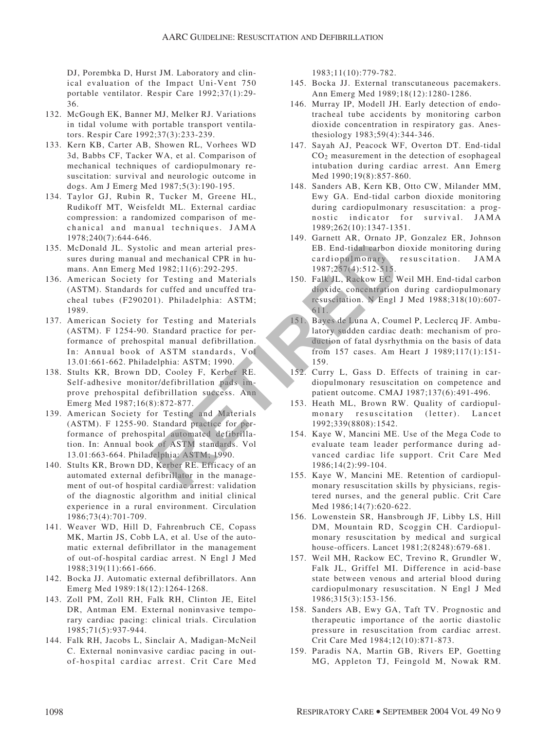DJ, Porembka D, Hurst JM. Laboratory and clinical evaluation of the Impact Uni-Vent 750 portable ventilator. Respir Care 1992;37(1):29- 36.

- 132. McGough EK, Banner MJ, Melker RJ. Variations in tidal volume with portable transport ventilators. Respir Care 1992;37(3):233-239.
- 133. Kern KB, Carter AB, Showen RL, Vorhees WD 3d, Babbs CF, Tacker WA, et al. Comparison of mechanical techniques of cardiopulmonary resuscitation: survival and neurologic outcome in dogs. Am J Emerg Med 1987;5(3):190-195.
- 134. Taylor GJ, Rubin R, Tucker M, Greene HL, Rudikoff MT, Weisfeldt ML. External cardiac compression: a randomized comparison of mechanical and manual techniques. JAMA 1978;240(7):644-646.
- 135. McDonald JL. Systolic and mean arterial pressures during manual and mechanical CPR in humans. Ann Emerg Med 1982;11(6):292-295.
- 136. American Society for Testing and Materials (ASTM). Standards for cuffed and uncuffed tracheal tubes (F290201). Philadelphia: ASTM; 1989.
- 137. American Society for Testing and Materials (ASTM). F 1254-90. Standard practice for performance of prehospital manual defibrillation. In: Annual book of ASTM standards, Vol 13.01:661-662. Philadelphia: ASTM; 1990.
- 138. Stults KR, Brown DD, Cooley F, Kerber RE. Self-adhesive monitor/defibrillation pads improve prehospital defibrillation success. Ann Emerg Med 1987;16(8):872-877.
- 139. American Society for Testing and Materials (ASTM). F 1255-90. Standard practice for performance of prehospital automated defibrillation. In: Annual book of ASTM standards. Vol 13.01:663-664. Philadelphia: ASTM; 1990.
- 140. Stults KR, Brown DD, Kerber RE. Efficacy of an automated external defibrillator in the management of out-of hospital cardiac arrest: validation of the diagnostic algorithm and initial clinical experience in a rural environment. Circulation 1986;73(4):701-709.
- 141. Weaver WD, Hill D, Fahrenbruch CE, Copass MK, Martin JS, Cobb LA, et al. Use of the automatic external defibrillator in the management of out-of-hospital cardiac arrest. N Engl J Med 1988;319(11):661-666.
- 142. Bocka JJ. Automatic external defibrillators. Ann Emerg Med 1989:18(12):1264-1268.
- 143. Zoll PM, Zoll RH, Falk RH, Clinton JE, Eitel DR, Antman EM. External noninvasive temporary cardiac pacing: clinical trials. Circulation 1985;71(5):937-944.
- 144. Falk RH, Jacobs L, Sinclair A, Madigan-McNeil C. External noninvasive cardiac pacing in outof-hospital cardiac arrest. Crit Care Med

1983;11(10):779-782.

- 145. Bocka JJ. External transcutaneous pacemakers. Ann Emerg Med 1989;18(12):1280-1286.
- 146. Murray IP, Modell JH. Early detection of endotracheal tube accidents by monitoring carbon dioxide concentration in respiratory gas. Anesthesiology 1983;59(4):344-346.
- 147. Sayah AJ, Peacock WF, Overton DT. End-tidal  $CO<sub>2</sub>$  measurement in the detection of esophageal intubation during cardiac arrest. Ann Emerg Med 1990;19(8):857-860.
- 148. Sanders AB, Kern KB, Otto CW, Milander MM, Ewy GA. End-tidal carbon dioxide monitoring during cardiopulmonary resuscitation: a prognostic indicator for survival. JAMA 1989;262(10):1347-1351.
- 149. Garnett AR, Ornato JP, Gonzalez ER, Johnson EB. End-tidal carbon dioxide monitoring during cardiopulmonary resuscitation. JAMA 1987;257(4):512-515.
- 150. Falk JL, Rackow EC, Weil MH. End-tidal carbon dioxide concentration during cardiopulmonary resuscitation. N Engl J Med 1988;318(10):607- 611.
- 151. Bayes de Luna A, Coumel P, Leclercq JF. Ambulatory sudden cardiac death: mechanism of production of fatal dysrhythmia on the basis of data from 157 cases. Am Heart J 1989;117(1):151- 159. ic and mean arterial pressure and mechanical CPR in human arterial pressure and all the cardiopal monary<br>
and 1982;11(6):292-295.<br>
1987;257(4):512-515.<br>
1987;257(4):512-515.<br>
1987;257(4):512-515.<br>
1987;257(4):512-515.<br>
199
	- 152. Curry L, Gass D. Effects of training in cardiopulmonary resuscitation on competence and patient outcome. CMAJ 1987;137(6):491-496.
	- 153. Heath ML, Brown RW. Quality of cardiopulmonary resuscitation (letter). Lancet 1992;339(8808):1542.
	- 154. Kaye W, Mancini ME. Use of the Mega Code to evaluate team leader performance during advanced cardiac life support. Crit Care Med 1986;14(2):99-104.
	- 155. Kaye W, Mancini ME. Retention of cardiopulmonary resuscitation skills by physicians, registered nurses, and the general public. Crit Care Med 1986;14(7):620-622.
	- 156. Lowenstein SR, Hansbrough JF, Libby LS, Hill DM, Mountain RD, Scoggin CH. Cardiopulmonary resuscitation by medical and surgical house-officers. Lancet 1981;2(8248):679-681.
	- 157. Weil MH, Rackow EC, Trevino R, Grundler W, Falk JL, Griffel MI. Difference in acid-base state between venous and arterial blood during cardiopulmonary resuscitation. N Engl J Med 1986;315(3):153-156.
	- 158. Sanders AB, Ewy GA, Taft TV. Prognostic and therapeutic importance of the aortic diastolic pressure in resuscitation from cardiac arrest. Crit Care Med 1984;12(10):871-873.
	- 159. Paradis NA, Martin GB, Rivers EP, Goetting MG, Appleton TJ, Feingold M, Nowak RM.